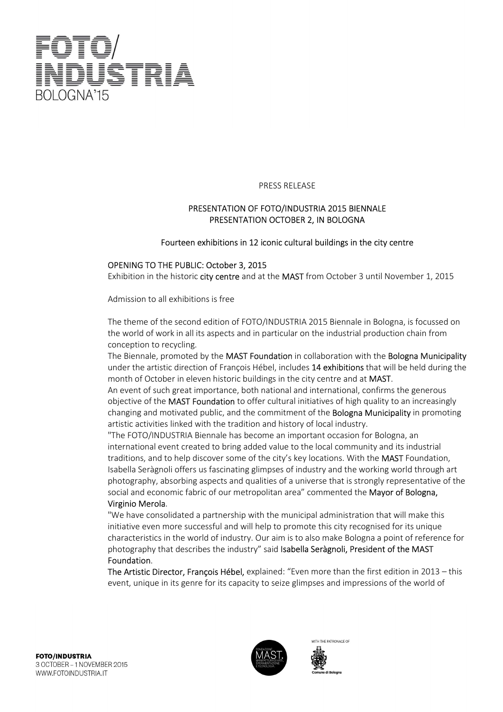

#### PRESS RELEASE

### PRESENTATION OF FOTO/INDUSTRIA 2015 BIENNALE PRESENTATION OCTOBER 2, IN BOLOGNA

#### Fourteen exhibitions in 12 iconic cultural buildings in the city centre

#### OPENING TO THE PUBLIC: October 3, 2015

Exhibition in the historic city centre and at the MAST from October 3 until November 1, 2015

Admission to all exhibitions is free

The theme of the second edition of FOTO/INDUSTRIA 2015 Biennale in Bologna, is focussed on the world of work in all its aspects and in particular on the industrial production chain from conception to recycling.

The Biennale, promoted by the MAST Foundation in collaboration with the Bologna Municipality under the artistic direction of François Hébel, includes 14 exhibitions that will be held during the month of October in eleven historic buildings in the city centre and at MAST.

An event of such great importance, both national and international, confirms the generous objective of the MAST Foundation to offer cultural initiatives of high quality to an increasingly changing and motivated public, and the commitment of the **Bologna Municipality** in promoting artistic activities linked with the tradition and history of local industry.

"The FOTO/INDUSTRIA Biennale has become an important occasion for Bologna, an international event created to bring added value to the local community and its industrial traditions, and to help discover some of the city's key locations. With the MAST Foundation, Isabella Seràgnoli offers us fascinating glimpses of industry and the working world through art photography, absorbing aspects and qualities of a universe that is strongly representative of the social and economic fabric of our metropolitan area" commented the Mayor of Bologna,

## Virginio Merola.

"We have consolidated a partnership with the municipal administration that will make this initiative even more successful and will help to promote this city recognised for its unique characteristics in the world of industry. Our aim is to also make Bologna a point of reference for photography that describes the industry" said Isabella Seràgnoli, President of the MAST Foundation.

The Artistic Director, François Hébel, explained: "Even more than the first edition in 2013 – this event, unique in its genre for its capacity to seize glimpses and impressions of the world of



ITH THE PATRONAGE OF